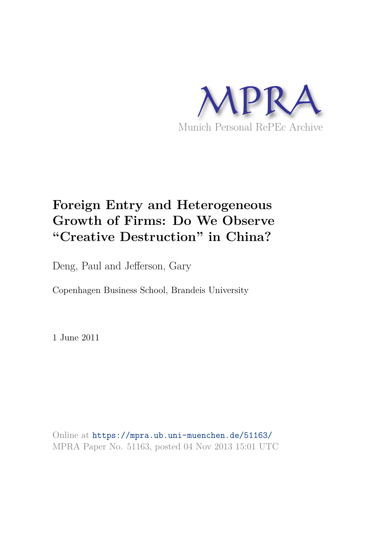

# **Foreign Entry and Heterogeneous Growth of Firms: Do We Observe "Creative Destruction" in China?**

Deng, Paul and Jefferson, Gary

Copenhagen Business School, Brandeis University

1 June 2011

Online at https://mpra.ub.uni-muenchen.de/51163/ MPRA Paper No. 51163, posted 04 Nov 2013 15:01 UTC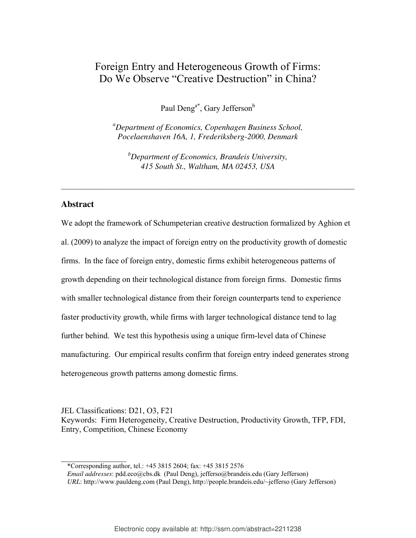# Foreign Entry and Heterogeneous Growth of Firms: Do We Observe "Creative Destruction" in China?

Paul Deng<sup>a\*</sup>, Gary Jefferson<sup>b</sup>

*<sup>a</sup>Department of Economics, Copenhagen Business School, Pocelaenshaven 16A, 1, Frederiksberg-2000, Denmark*

*<sup>b</sup>Department of Economics, Brandeis University, 415 South St., Waltham, MA 02453, USA* 

 $\_$  , and the set of the set of the set of the set of the set of the set of the set of the set of the set of the set of the set of the set of the set of the set of the set of the set of the set of the set of the set of th

## **Abstract**

We adopt the framework of Schumpeterian creative destruction formalized by Aghion et al. (2009) to analyze the impact of foreign entry on the productivity growth of domestic firms. In the face of foreign entry, domestic firms exhibit heterogeneous patterns of growth depending on their technological distance from foreign firms. Domestic firms with smaller technological distance from their foreign counterparts tend to experience faster productivity growth, while firms with larger technological distance tend to lag further behind. We test this hypothesis using a unique firm-level data of Chinese manufacturing. Our empirical results confirm that foreign entry indeed generates strong heterogeneous growth patterns among domestic firms.

JEL Classifications: D21, O3, F21 Keywords: Firm Heterogeneity, Creative Destruction, Productivity Growth, TFP, FDI, Entry, Competition, Chinese Economy

 $\frac{1}{2}$  ,  $\frac{1}{2}$  ,  $\frac{1}{2}$  ,  $\frac{1}{2}$  ,  $\frac{1}{2}$  ,  $\frac{1}{2}$  ,  $\frac{1}{2}$ \*Corresponding author, tel.: +45 3815 2604; fax: +45 3815 2576

*Email addresses*: pdd.eco@cbs.dk (Paul Deng), jefferso@brandeis.edu (Gary Jefferson) *URL*: http://www.pauldeng.com (Paul Deng), http://people.brandeis.edu/~jefferso (Gary Jefferson)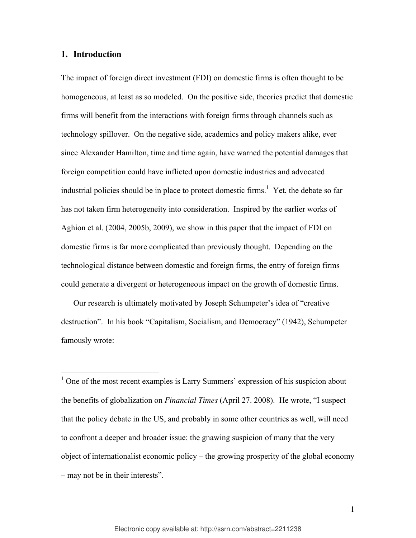#### **1. Introduction**

 $\overline{a}$ 

The impact of foreign direct investment (FDI) on domestic firms is often thought to be homogeneous, at least as so modeled. On the positive side, theories predict that domestic firms will benefit from the interactions with foreign firms through channels such as technology spillover. On the negative side, academics and policy makers alike, ever since Alexander Hamilton, time and time again, have warned the potential damages that foreign competition could have inflicted upon domestic industries and advocated industrial policies should be in place to protect domestic firms.<sup>1</sup> Yet, the debate so far has not taken firm heterogeneity into consideration. Inspired by the earlier works of Aghion et al. (2004, 2005b, 2009), we show in this paper that the impact of FDI on domestic firms is far more complicated than previously thought. Depending on the technological distance between domestic and foreign firms, the entry of foreign firms could generate a divergent or heterogeneous impact on the growth of domestic firms.

Our research is ultimately motivated by Joseph Schumpeter's idea of "creative destruction". In his book "Capitalism, Socialism, and Democracy" (1942), Schumpeter famously wrote:

<sup>1</sup> One of the most recent examples is Larry Summers' expression of his suspicion about the benefits of globalization on *Financial Times* (April 27. 2008). He wrote, "I suspect that the policy debate in the US, and probably in some other countries as well, will need to confront a deeper and broader issue: the gnawing suspicion of many that the very object of internationalist economic policy – the growing prosperity of the global economy – may not be in their interests".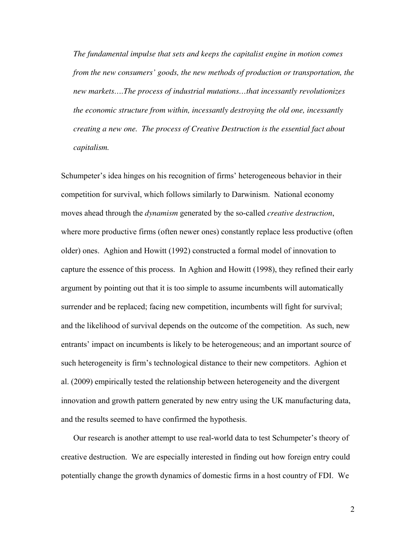*The fundamental impulse that sets and keeps the capitalist engine in motion comes from the new consumers' goods, the new methods of production or transportation, the new markets….The process of industrial mutations…that incessantly revolutionizes the economic structure from within, incessantly destroying the old one, incessantly creating a new one. The process of Creative Destruction is the essential fact about capitalism.* 

Schumpeter's idea hinges on his recognition of firms' heterogeneous behavior in their competition for survival, which follows similarly to Darwinism. National economy moves ahead through the *dynamism* generated by the so-called *creative destruction*, where more productive firms (often newer ones) constantly replace less productive (often older) ones. Aghion and Howitt (1992) constructed a formal model of innovation to capture the essence of this process. In Aghion and Howitt (1998), they refined their early argument by pointing out that it is too simple to assume incumbents will automatically surrender and be replaced; facing new competition, incumbents will fight for survival; and the likelihood of survival depends on the outcome of the competition. As such, new entrants' impact on incumbents is likely to be heterogeneous; and an important source of such heterogeneity is firm's technological distance to their new competitors. Aghion et al. (2009) empirically tested the relationship between heterogeneity and the divergent innovation and growth pattern generated by new entry using the UK manufacturing data, and the results seemed to have confirmed the hypothesis.

Our research is another attempt to use real-world data to test Schumpeter's theory of creative destruction. We are especially interested in finding out how foreign entry could potentially change the growth dynamics of domestic firms in a host country of FDI. We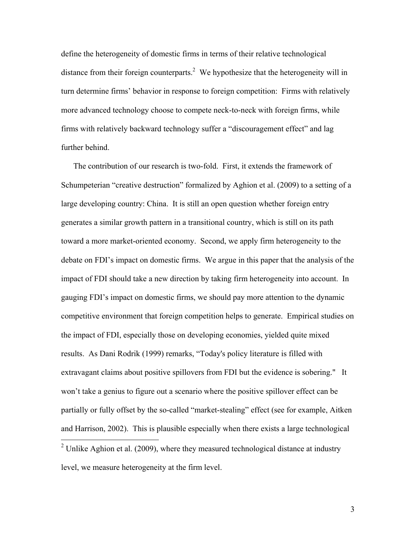define the heterogeneity of domestic firms in terms of their relative technological distance from their foreign counterparts.<sup>2</sup> We hypothesize that the heterogeneity will in turn determine firms' behavior in response to foreign competition: Firms with relatively more advanced technology choose to compete neck-to-neck with foreign firms, while firms with relatively backward technology suffer a "discouragement effect" and lag further behind.

The contribution of our research is two-fold. First, it extends the framework of Schumpeterian "creative destruction" formalized by Aghion et al. (2009) to a setting of a large developing country: China. It is still an open question whether foreign entry generates a similar growth pattern in a transitional country, which is still on its path toward a more market-oriented economy. Second, we apply firm heterogeneity to the debate on FDI's impact on domestic firms. We argue in this paper that the analysis of the impact of FDI should take a new direction by taking firm heterogeneity into account. In gauging FDI's impact on domestic firms, we should pay more attention to the dynamic competitive environment that foreign competition helps to generate. Empirical studies on the impact of FDI, especially those on developing economies, yielded quite mixed results. As Dani Rodrik (1999) remarks, "Today's policy literature is filled with extravagant claims about positive spillovers from FDI but the evidence is sobering." It won't take a genius to figure out a scenario where the positive spillover effect can be partially or fully offset by the so-called "market-stealing" effect (see for example, Aitken and Harrison, 2002). This is plausible especially when there exists a large technological <sup>2</sup> Unlike Aghion et al. (2009), where they measured technological distance at industry

level, we measure heterogeneity at the firm level.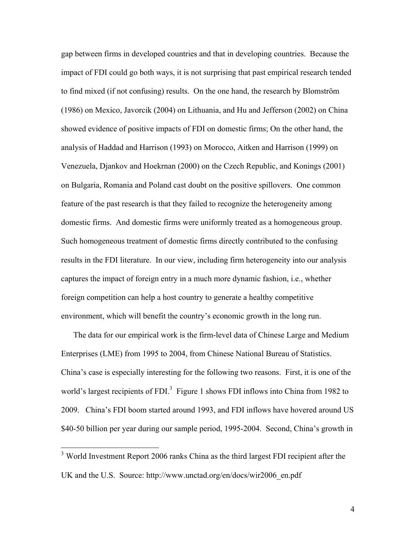gap between firms in developed countries and that in developing countries. Because the impact of FDI could go both ways, it is not surprising that past empirical research tended to find mixed (if not confusing) results. On the one hand, the research by Blomström (1986) on Mexico, Javorcik (2004) on Lithuania, and Hu and Jefferson (2002) on China showed evidence of positive impacts of FDI on domestic firms; On the other hand, the analysis of Haddad and Harrison (1993) on Morocco, Aitken and Harrison (1999) on Venezuela, Djankov and Hoekrnan (2000) on the Czech Republic, and Konings (2001) on Bulgaria, Romania and Poland cast doubt on the positive spillovers. One common feature of the past research is that they failed to recognize the heterogeneity among domestic firms. And domestic firms were uniformly treated as a homogeneous group. Such homogeneous treatment of domestic firms directly contributed to the confusing results in the FDI literature. In our view, including firm heterogeneity into our analysis captures the impact of foreign entry in a much more dynamic fashion, i.e., whether foreign competition can help a host country to generate a healthy competitive environment, which will benefit the country's economic growth in the long run.

The data for our empirical work is the firm-level data of Chinese Large and Medium Enterprises (LME) from 1995 to 2004, from Chinese National Bureau of Statistics. China's case is especially interesting for the following two reasons. First, it is one of the world's largest recipients of FDI. $3$  Figure 1 shows FDI inflows into China from 1982 to 2009. China's FDI boom started around 1993, and FDI inflows have hovered around US \$40-50 billion per year during our sample period, 1995-2004. Second, China's growth in

<u>.</u>

<sup>&</sup>lt;sup>3</sup> World Investment Report 2006 ranks China as the third largest FDI recipient after the UK and the U.S. Source: http://www.unctad.org/en/docs/wir2006\_en.pdf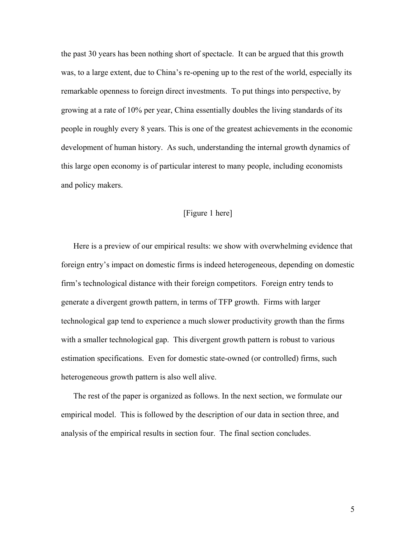the past 30 years has been nothing short of spectacle. It can be argued that this growth was, to a large extent, due to China's re-opening up to the rest of the world, especially its remarkable openness to foreign direct investments. To put things into perspective, by growing at a rate of 10% per year, China essentially doubles the living standards of its people in roughly every 8 years. This is one of the greatest achievements in the economic development of human history. As such, understanding the internal growth dynamics of this large open economy is of particular interest to many people, including economists and policy makers.

# [Figure 1 here]

Here is a preview of our empirical results: we show with overwhelming evidence that foreign entry's impact on domestic firms is indeed heterogeneous, depending on domestic firm's technological distance with their foreign competitors. Foreign entry tends to generate a divergent growth pattern, in terms of TFP growth. Firms with larger technological gap tend to experience a much slower productivity growth than the firms with a smaller technological gap. This divergent growth pattern is robust to various estimation specifications. Even for domestic state-owned (or controlled) firms, such heterogeneous growth pattern is also well alive.

The rest of the paper is organized as follows. In the next section, we formulate our empirical model. This is followed by the description of our data in section three, and analysis of the empirical results in section four. The final section concludes.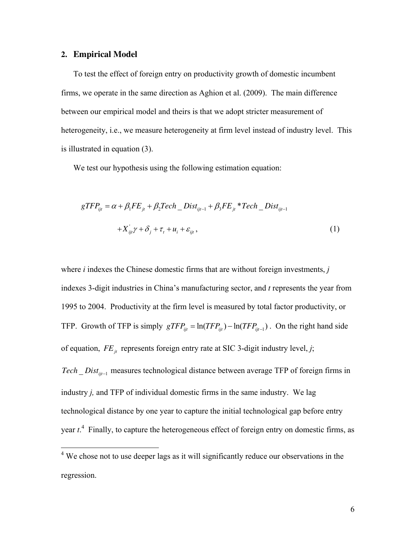#### **2. Empirical Model**

To test the effect of foreign entry on productivity growth of domestic incumbent firms, we operate in the same direction as Aghion et al. (2009). The main difference between our empirical model and theirs is that we adopt stricter measurement of heterogeneity, i.e., we measure heterogeneity at firm level instead of industry level. This is illustrated in equation (3).

We test our hypothesis using the following estimation equation:

$$
gTFP_{ijt} = \alpha + \beta_1 FE_{jt} + \beta_2 Tech\_Dist_{ijt-1} + \beta_3 FE_{jt} * Tech\_Dist_{ijt-1}
$$

$$
+X_{ijt}'\gamma + \delta_j + \tau_t + u_i + \varepsilon_{ijt},
$$

$$
\tag{1}
$$

where *i* indexes the Chinese domestic firms that are without foreign investments, *j* indexes 3-digit industries in China's manufacturing sector, and *t* represents the year from 1995 to 2004. Productivity at the firm level is measured by total factor productivity, or TFP. Growth of TFP is simply  $gTFP_{ijt} = \ln(TFP_{ijt}) - \ln(TFP_{ijt-1})$ . On the right hand side of equation,  $FE_i$  represents foreign entry rate at SIC 3-digit industry level, *j*;

Tech \_ Dist<sub>ijt-1</sub> measures technological distance between average TFP of foreign firms in industry *j,* and TFP of individual domestic firms in the same industry. We lag technological distance by one year to capture the initial technological gap before entry year *t*. 4 Finally, to capture the heterogeneous effect of foreign entry on domestic firms, as

<sup>&</sup>lt;sup>4</sup> We chose not to use deeper lags as it will significantly reduce our observations in the regression.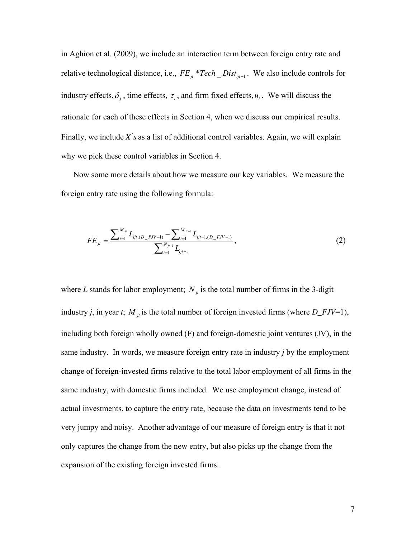in Aghion et al. (2009), we include an interaction term between foreign entry rate and relative technological distance, i.e.,  $FE_{jt}$  \*  $Tech\_Dist_{ijt-1}$ . We also include controls for industry effects,  $\delta_j$ , time effects,  $\tau_t$ , and firm fixed effects,  $u_i$ . We will discuss the rationale for each of these effects in Section 4, when we discuss our empirical results. Finally, we include  $X$ 's as a list of additional control variables. Again, we will explain why we pick these control variables in Section 4.

Now some more details about how we measure our key variables. We measure the foreign entry rate using the following formula:

$$
FE_{jt} = \frac{\sum_{i=1}^{M_{jt}} L_{ijt,(D\_FJV=1)} - \sum_{i=1}^{M_{jt-1}} L_{ijt-1,(D\_FJV=1)}}{\sum_{i=1}^{N_{jt-1}} L_{ijt-1}},
$$
\n(2)

where *L* stands for labor employment;  $N_i$  is the total number of firms in the 3-digit industry *j*, in year *t*;  $M_{jt}$  is the total number of foreign invested firms (where  $D_FJV=1$ ), including both foreign wholly owned (F) and foreign-domestic joint ventures (JV), in the same industry. In words, we measure foreign entry rate in industry *j* by the employment change of foreign-invested firms relative to the total labor employment of all firms in the same industry, with domestic firms included. We use employment change, instead of actual investments, to capture the entry rate, because the data on investments tend to be very jumpy and noisy. Another advantage of our measure of foreign entry is that it not only captures the change from the new entry, but also picks up the change from the expansion of the existing foreign invested firms.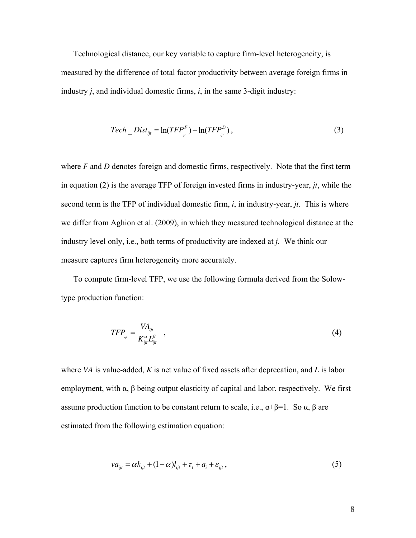Technological distance, our key variable to capture firm-level heterogeneity, is measured by the difference of total factor productivity between average foreign firms in industry *j*, and individual domestic firms, *i*, in the same 3-digit industry:

$$
Techn\_Dist_{ijt} = \ln(TFP_j^F) - \ln(TFP_{ij}^D), \qquad (3)
$$

where *F* and *D* denotes foreign and domestic firms, respectively. Note that the first term in equation (2) is the average TFP of foreign invested firms in industry-year, *jt*, while the second term is the TFP of individual domestic firm, *i*, in industry-year, *jt*. This is where we differ from Aghion et al. (2009), in which they measured technological distance at the industry level only, i.e., both terms of productivity are indexed at *j.* We think our measure captures firm heterogeneity more accurately.

To compute firm-level TFP, we use the following formula derived from the Solowtype production function:

$$
TFP_{ijt} = \frac{VA_{ijt}}{K_{ijt}^{\alpha}L_{ijt}^{\beta}} \quad , \tag{4}
$$

where *VA* is value-added, *K* is net value of fixed assets after deprecation, and *L* is labor employment, with  $\alpha$ ,  $\beta$  being output elasticity of capital and labor, respectively. We first assume production function to be constant return to scale, i.e.,  $\alpha + \beta = 1$ . So  $\alpha$ ,  $\beta$  are estimated from the following estimation equation:

$$
va_{ijt} = \alpha k_{ijt} + (1 - \alpha) l_{ijt} + \tau_t + a_i + \varepsilon_{ijt},
$$
\n<sup>(5)</sup>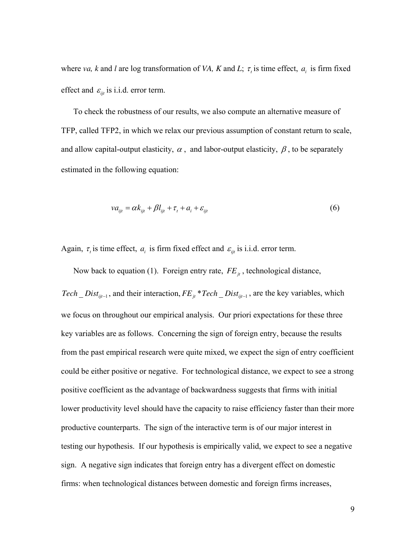where *va*, *k* and *l* are log transformation of *VA*, *K* and *L*;  $\tau$ <sub>*i*</sub> is time effect,  $a_i$  is firm fixed effect and  $\varepsilon_{ii}$  is i.i.d. error term.

To check the robustness of our results, we also compute an alternative measure of TFP, called TFP2, in which we relax our previous assumption of constant return to scale, and allow capital-output elasticity,  $\alpha$ , and labor-output elasticity,  $\beta$ , to be separately estimated in the following equation:

$$
va_{ijt} = \alpha k_{ijt} + \beta l_{ijt} + \tau_t + a_i + \varepsilon_{ijt}
$$
\n<sup>(6)</sup>

Again,  $\tau$ , is time effect,  $a_i$  is firm fixed effect and  $\varepsilon_{ijt}$  is i.i.d. error term.

Now back to equation (1). Foreign entry rate,  $FE_{it}$ , technological distance,

*Tech* \_ *Dist<sub>ijt-1</sub>*, and their interaction,  $FE_{jt}$  \* *Tech* \_ *Dist<sub>ijt-1</sub>*, are the key variables, which we focus on throughout our empirical analysis. Our priori expectations for these three key variables are as follows. Concerning the sign of foreign entry, because the results from the past empirical research were quite mixed, we expect the sign of entry coefficient could be either positive or negative. For technological distance, we expect to see a strong positive coefficient as the advantage of backwardness suggests that firms with initial lower productivity level should have the capacity to raise efficiency faster than their more productive counterparts. The sign of the interactive term is of our major interest in testing our hypothesis. If our hypothesis is empirically valid, we expect to see a negative sign. A negative sign indicates that foreign entry has a divergent effect on domestic firms: when technological distances between domestic and foreign firms increases,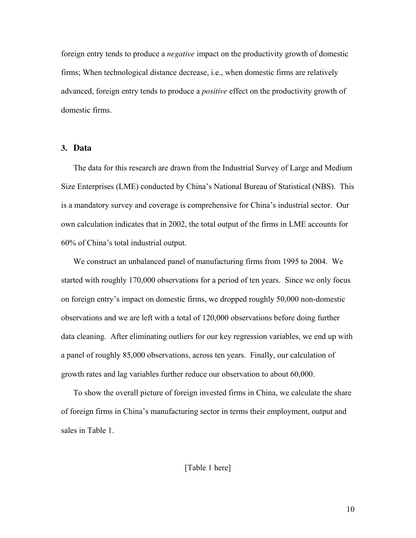foreign entry tends to produce a *negative* impact on the productivity growth of domestic firms; When technological distance decrease, i.e., when domestic firms are relatively advanced, foreign entry tends to produce a *positive* effect on the productivity growth of domestic firms.

### **3. Data**

The data for this research are drawn from the Industrial Survey of Large and Medium Size Enterprises (LME) conducted by China's National Bureau of Statistical (NBS). This is a mandatory survey and coverage is comprehensive for China's industrial sector. Our own calculation indicates that in 2002, the total output of the firms in LME accounts for 60% of China's total industrial output.

We construct an unbalanced panel of manufacturing firms from 1995 to 2004. We started with roughly 170,000 observations for a period of ten years. Since we only focus on foreign entry's impact on domestic firms, we dropped roughly 50,000 non-domestic observations and we are left with a total of 120,000 observations before doing further data cleaning. After eliminating outliers for our key regression variables, we end up with a panel of roughly 85,000 observations, across ten years. Finally, our calculation of growth rates and lag variables further reduce our observation to about 60,000.

To show the overall picture of foreign invested firms in China, we calculate the share of foreign firms in China's manufacturing sector in terms their employment, output and sales in Table 1.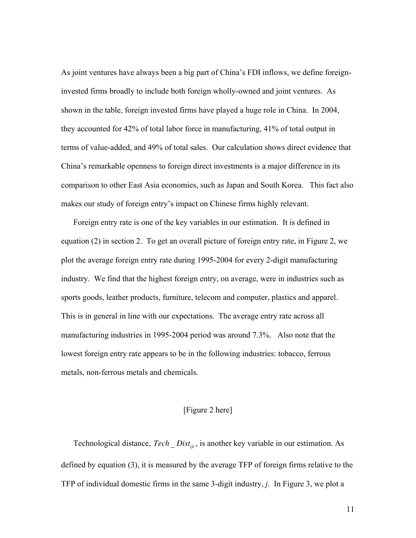As joint ventures have always been a big part of China's FDI inflows, we define foreigninvested firms broadly to include both foreign wholly-owned and joint ventures. As shown in the table, foreign invested firms have played a huge role in China. In 2004, they accounted for 42% of total labor force in manufacturing, 41% of total output in terms of value-added, and 49% of total sales. Our calculation shows direct evidence that China's remarkable openness to foreign direct investments is a major difference in its comparison to other East Asia economies, such as Japan and South Korea. This fact also makes our study of foreign entry's impact on Chinese firms highly relevant.

Foreign entry rate is one of the key variables in our estimation. It is defined in equation (2) in section 2. To get an overall picture of foreign entry rate, in Figure 2, we plot the average foreign entry rate during 1995-2004 for every 2-digit manufacturing industry. We find that the highest foreign entry, on average, were in industries such as sports goods, leather products, furniture, telecom and computer, plastics and apparel. This is in general in line with our expectations. The average entry rate across all manufacturing industries in 1995-2004 period was around 7.3%. Also note that the lowest foreign entry rate appears to be in the following industries: tobacco, ferrous metals, non-ferrous metals and chemicals.

#### [Figure 2 here]

Technological distance,  $Tech\_Dist_{i,t}$ , is another key variable in our estimation. As defined by equation (3), it is measured by the average TFP of foreign firms relative to the TFP of individual domestic firms in the same 3-digit industry, *j*. In Figure 3, we plot a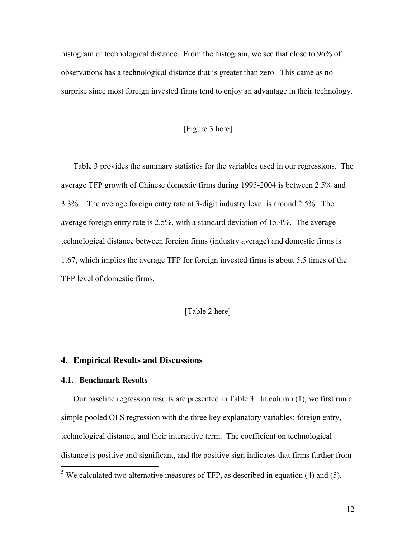histogram of technological distance. From the histogram, we see that close to 96% of observations has a technological distance that is greater than zero. This came as no surprise since most foreign invested firms tend to enjoy an advantage in their technology.

# [Figure 3 here]

Table 3 provides the summary statistics for the variables used in our regressions. The average TFP growth of Chinese domestic firms during 1995-2004 is between 2.5% and 3.3%.<sup>5</sup> The average foreign entry rate at 3-digit industry level is around 2.5%. The average foreign entry rate is 2.5%, with a standard deviation of 15.4%. The average technological distance between foreign firms (industry average) and domestic firms is 1.67, which implies the average TFP for foreign invested firms is about 5.5 times of the TFP level of domestic firms.

[Table 2 here]

# **4. Empirical Results and Discussions**

#### **4.1. Benchmark Results**

Our baseline regression results are presented in Table 3. In column (1), we first run a simple pooled OLS regression with the three key explanatory variables: foreign entry, technological distance, and their interactive term. The coefficient on technological distance is positive and significant, and the positive sign indicates that firms further from

<sup>&</sup>lt;sup>5</sup> We calculated two alternative measures of TFP, as described in equation (4) and (5).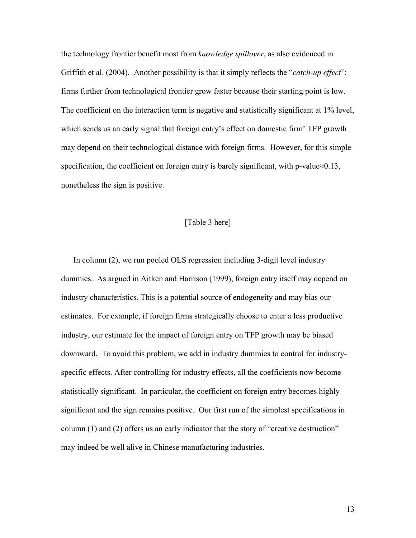the technology frontier benefit most from *knowledge spillover*, as also evidenced in Griffith et al. (2004). Another possibility is that it simply reflects the "*catch-up effect*": firms further from technological frontier grow faster because their starting point is low. The coefficient on the interaction term is negative and statistically significant at 1% level, which sends us an early signal that foreign entry's effect on domestic firm' TFP growth may depend on their technological distance with foreign firms. However, for this simple specification, the coefficient on foreign entry is barely significant, with p-value≈0.13, nonetheless the sign is positive.

#### [Table 3 here]

In column (2), we run pooled OLS regression including 3-digit level industry dummies. As argued in Aitken and Harrison (1999), foreign entry itself may depend on industry characteristics. This is a potential source of endogeneity and may bias our estimates. For example, if foreign firms strategically choose to enter a less productive industry, our estimate for the impact of foreign entry on TFP growth may be biased downward. To avoid this problem, we add in industry dummies to control for industryspecific effects. After controlling for industry effects, all the coefficients now become statistically significant. In particular, the coefficient on foreign entry becomes highly significant and the sign remains positive. Our first run of the simplest specifications in column (1) and (2) offers us an early indicator that the story of "creative destruction" may indeed be well alive in Chinese manufacturing industries.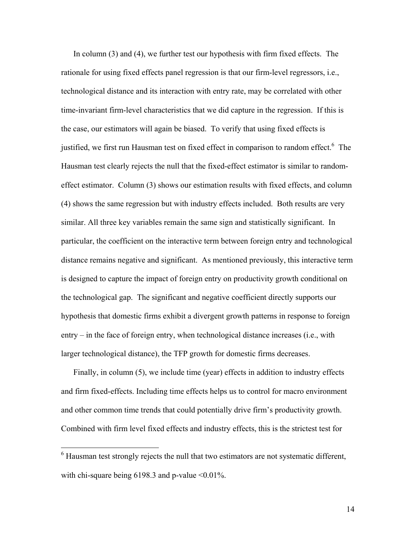In column (3) and (4), we further test our hypothesis with firm fixed effects. The rationale for using fixed effects panel regression is that our firm-level regressors, i.e., technological distance and its interaction with entry rate, may be correlated with other time-invariant firm-level characteristics that we did capture in the regression. If this is the case, our estimators will again be biased. To verify that using fixed effects is justified, we first run Hausman test on fixed effect in comparison to random effect.<sup>6</sup> The Hausman test clearly rejects the null that the fixed-effect estimator is similar to randomeffect estimator. Column (3) shows our estimation results with fixed effects, and column (4) shows the same regression but with industry effects included. Both results are very similar. All three key variables remain the same sign and statistically significant. In particular, the coefficient on the interactive term between foreign entry and technological distance remains negative and significant. As mentioned previously, this interactive term is designed to capture the impact of foreign entry on productivity growth conditional on the technological gap. The significant and negative coefficient directly supports our hypothesis that domestic firms exhibit a divergent growth patterns in response to foreign entry – in the face of foreign entry, when technological distance increases (i.e., with larger technological distance), the TFP growth for domestic firms decreases.

Finally, in column (5), we include time (year) effects in addition to industry effects and firm fixed-effects. Including time effects helps us to control for macro environment and other common time trends that could potentially drive firm's productivity growth. Combined with firm level fixed effects and industry effects, this is the strictest test for

 $\overline{a}$ 

<sup>&</sup>lt;sup>6</sup> Hausman test strongly rejects the null that two estimators are not systematic different, with chi-square being  $6198.3$  and p-value  $\leq 0.01\%$ .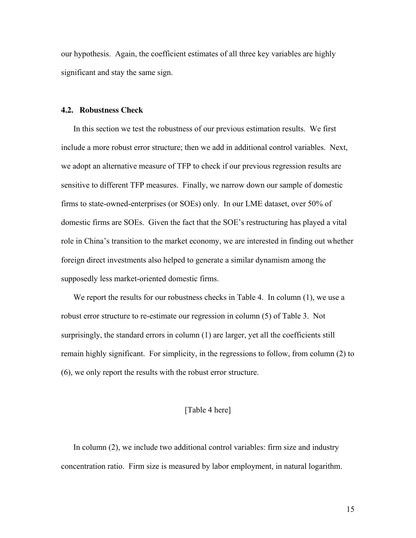our hypothesis. Again, the coefficient estimates of all three key variables are highly significant and stay the same sign.

#### **4.2. Robustness Check**

In this section we test the robustness of our previous estimation results. We first include a more robust error structure; then we add in additional control variables. Next, we adopt an alternative measure of TFP to check if our previous regression results are sensitive to different TFP measures. Finally, we narrow down our sample of domestic firms to state-owned-enterprises (or SOEs) only. In our LME dataset, over 50% of domestic firms are SOEs. Given the fact that the SOE's restructuring has played a vital role in China's transition to the market economy, we are interested in finding out whether foreign direct investments also helped to generate a similar dynamism among the supposedly less market-oriented domestic firms.

We report the results for our robustness checks in Table 4. In column (1), we use a robust error structure to re-estimate our regression in column (5) of Table 3. Not surprisingly, the standard errors in column (1) are larger, yet all the coefficients still remain highly significant. For simplicity, in the regressions to follow, from column (2) to (6), we only report the results with the robust error structure.

#### [Table 4 here]

In column (2), we include two additional control variables: firm size and industry concentration ratio. Firm size is measured by labor employment, in natural logarithm.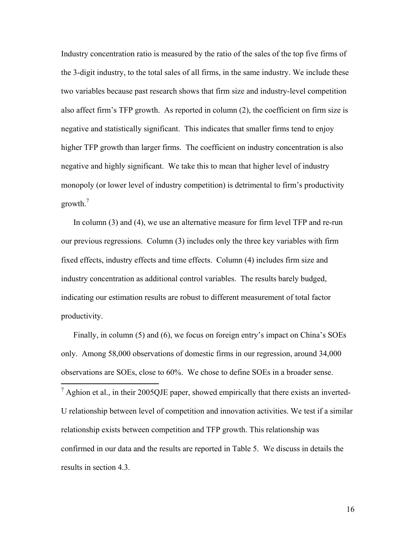Industry concentration ratio is measured by the ratio of the sales of the top five firms of the 3-digit industry, to the total sales of all firms, in the same industry. We include these two variables because past research shows that firm size and industry-level competition also affect firm's TFP growth. As reported in column (2), the coefficient on firm size is negative and statistically significant. This indicates that smaller firms tend to enjoy higher TFP growth than larger firms. The coefficient on industry concentration is also negative and highly significant. We take this to mean that higher level of industry monopoly (or lower level of industry competition) is detrimental to firm's productivity growth.<sup>7</sup>

In column (3) and (4), we use an alternative measure for firm level TFP and re-run our previous regressions. Column (3) includes only the three key variables with firm fixed effects, industry effects and time effects. Column (4) includes firm size and industry concentration as additional control variables. The results barely budged, indicating our estimation results are robust to different measurement of total factor productivity.

Finally, in column (5) and (6), we focus on foreign entry's impact on China's SOEs only. Among 58,000 observations of domestic firms in our regression, around 34,000 observations are SOEs, close to 60%. We chose to define SOEs in a broader sense.

 $\frac{7}{7}$  Aghion et al., in their 2005QJE paper, showed empirically that there exists an inverted-U relationship between level of competition and innovation activities. We test if a similar relationship exists between competition and TFP growth. This relationship was confirmed in our data and the results are reported in Table 5. We discuss in details the results in section 4.3.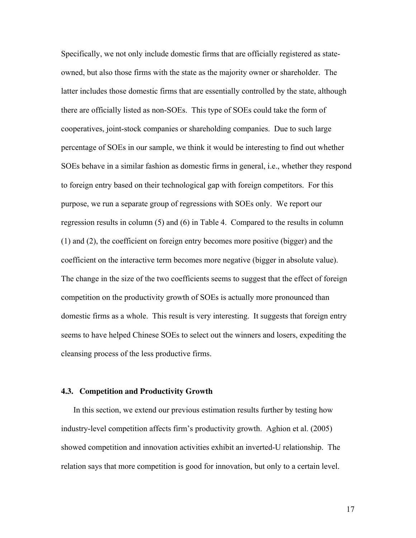Specifically, we not only include domestic firms that are officially registered as stateowned, but also those firms with the state as the majority owner or shareholder. The latter includes those domestic firms that are essentially controlled by the state, although there are officially listed as non-SOEs. This type of SOEs could take the form of cooperatives, joint-stock companies or shareholding companies. Due to such large percentage of SOEs in our sample, we think it would be interesting to find out whether SOEs behave in a similar fashion as domestic firms in general, i.e., whether they respond to foreign entry based on their technological gap with foreign competitors. For this purpose, we run a separate group of regressions with SOEs only. We report our regression results in column (5) and (6) in Table 4. Compared to the results in column (1) and (2), the coefficient on foreign entry becomes more positive (bigger) and the coefficient on the interactive term becomes more negative (bigger in absolute value). The change in the size of the two coefficients seems to suggest that the effect of foreign competition on the productivity growth of SOEs is actually more pronounced than domestic firms as a whole. This result is very interesting. It suggests that foreign entry seems to have helped Chinese SOEs to select out the winners and losers, expediting the cleansing process of the less productive firms.

#### **4.3. Competition and Productivity Growth**

In this section, we extend our previous estimation results further by testing how industry-level competition affects firm's productivity growth. Aghion et al. (2005) showed competition and innovation activities exhibit an inverted-U relationship. The relation says that more competition is good for innovation, but only to a certain level.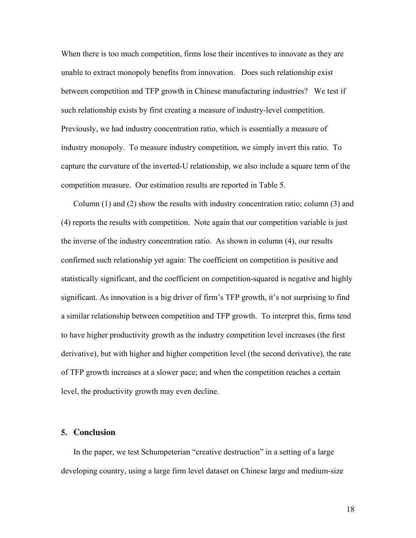When there is too much competition, firms lose their incentives to innovate as they are unable to extract monopoly benefits from innovation. Does such relationship exist between competition and TFP growth in Chinese manufacturing industries? We test if such relationship exists by first creating a measure of industry-level competition. Previously, we had industry concentration ratio, which is essentially a measure of industry monopoly. To measure industry competition, we simply invert this ratio. To capture the curvature of the inverted-U relationship, we also include a square term of the competition measure. Our estimation results are reported in Table 5.

Column (1) and (2) show the results with industry concentration ratio; column (3) and (4) reports the results with competition. Note again that our competition variable is just the inverse of the industry concentration ratio. As shown in column (4), our results confirmed such relationship yet again: The coefficient on competition is positive and statistically significant, and the coefficient on competition-squared is negative and highly significant. As innovation is a big driver of firm's TFP growth, it's not surprising to find a similar relationship between competition and TFP growth. To interpret this, firms tend to have higher productivity growth as the industry competition level increases (the first derivative), but with higher and higher competition level (the second derivative), the rate of TFP growth increases at a slower pace; and when the competition reaches a certain level, the productivity growth may even decline.

## **5. Conclusion**

In the paper, we test Schumpeterian "creative destruction" in a setting of a large developing country, using a large firm level dataset on Chinese large and medium-size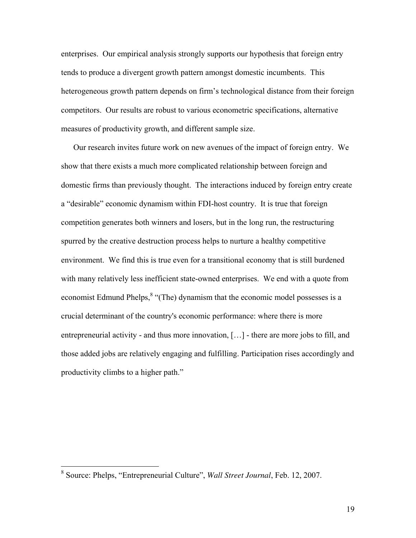enterprises. Our empirical analysis strongly supports our hypothesis that foreign entry tends to produce a divergent growth pattern amongst domestic incumbents. This heterogeneous growth pattern depends on firm's technological distance from their foreign competitors. Our results are robust to various econometric specifications, alternative measures of productivity growth, and different sample size.

Our research invites future work on new avenues of the impact of foreign entry. We show that there exists a much more complicated relationship between foreign and domestic firms than previously thought. The interactions induced by foreign entry create a "desirable" economic dynamism within FDI-host country. It is true that foreign competition generates both winners and losers, but in the long run, the restructuring spurred by the creative destruction process helps to nurture a healthy competitive environment. We find this is true even for a transitional economy that is still burdened with many relatively less inefficient state-owned enterprises. We end with a quote from economist Edmund Phelps,<sup>8</sup> "(The) dynamism that the economic model possesses is a crucial determinant of the country's economic performance: where there is more entrepreneurial activity - and thus more innovation, […] - there are more jobs to fill, and those added jobs are relatively engaging and fulfilling. Participation rises accordingly and productivity climbs to a higher path."

 8 Source: Phelps, "Entrepreneurial Culture", *Wall Street Journal*, Feb. 12, 2007.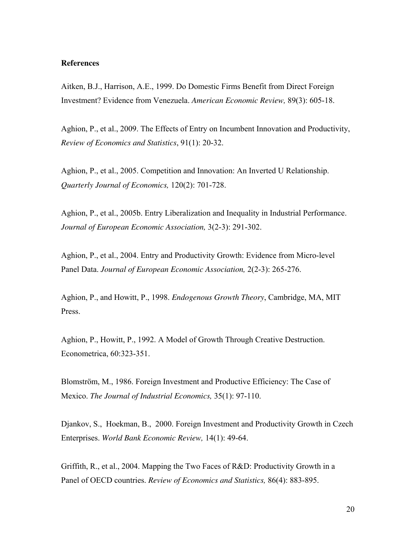#### **References**

Aitken, B.J., Harrison, A.E., 1999. Do Domestic Firms Benefit from Direct Foreign Investment? Evidence from Venezuela. *American Economic Review,* 89(3): 605-18.

Aghion, P., et al., 2009. The Effects of Entry on Incumbent Innovation and Productivity, *Review of Economics and Statistics*, 91(1): 20-32.

Aghion, P., et al., 2005. Competition and Innovation: An Inverted U Relationship. *Quarterly Journal of Economics,* 120(2): 701-728.

Aghion, P., et al., 2005b. Entry Liberalization and Inequality in Industrial Performance. *Journal of European Economic Association,* 3(2-3): 291-302.

Aghion, P., et al., 2004. Entry and Productivity Growth: Evidence from Micro-level Panel Data. *Journal of European Economic Association,* 2(2-3): 265-276.

Aghion, P., and Howitt, P., 1998. *Endogenous Growth Theory*, Cambridge, MA, MIT Press.

Aghion, P., Howitt, P., 1992. A Model of Growth Through Creative Destruction. Econometrica, 60:323-351.

Blomström, M., 1986. Foreign Investment and Productive Efficiency: The Case of Mexico. *The Journal of Industrial Economics,* 35(1): 97-110.

Djankov, S., Hoekman, B., 2000. Foreign Investment and Productivity Growth in Czech Enterprises. *World Bank Economic Review,* 14(1): 49-64.

Griffith, R., et al., 2004. Mapping the Two Faces of R&D: Productivity Growth in a Panel of OECD countries. *Review of Economics and Statistics,* 86(4): 883-895.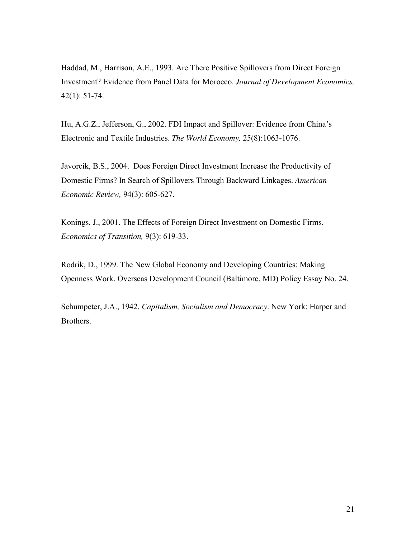Haddad, M., Harrison, A.E., 1993. Are There Positive Spillovers from Direct Foreign Investment? Evidence from Panel Data for Morocco. *Journal of Development Economics,* 42(1): 51-74.

Hu, A.G.Z., Jefferson, G., 2002. FDI Impact and Spillover: Evidence from China's Electronic and Textile Industries. *The World Economy,* 25(8):1063-1076.

Javorcik, B.S., 2004. Does Foreign Direct Investment Increase the Productivity of Domestic Firms? In Search of Spillovers Through Backward Linkages. *American Economic Review,* 94(3): 605-627.

Konings, J., 2001. The Effects of Foreign Direct Investment on Domestic Firms. *Economics of Transition,* 9(3): 619-33.

Rodrik, D., 1999. The New Global Economy and Developing Countries: Making Openness Work. Overseas Development Council (Baltimore, MD) Policy Essay No. 24.

Schumpeter, J.A., 1942. *Capitalism, Socialism and Democracy*. New York: Harper and Brothers.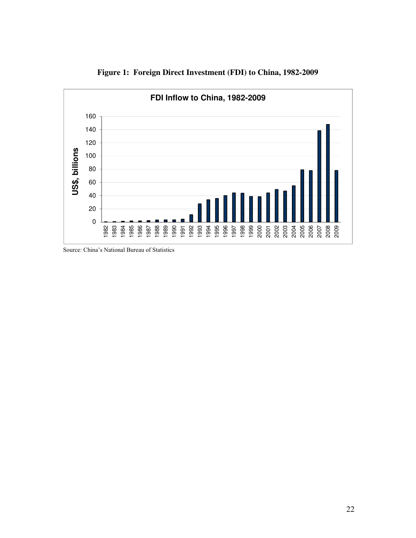

**Figure 1: Foreign Direct Investment (FDI) to China, 1982-2009** 

Source: China's National Bureau of Statistics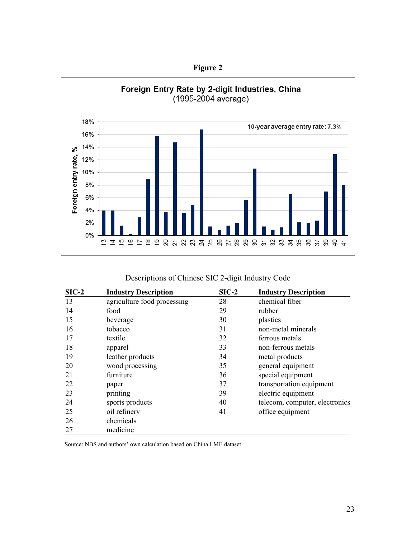



| Descriptions of Chinese SIC 2-digit Industry Code |  |  |  |  |
|---------------------------------------------------|--|--|--|--|
|---------------------------------------------------|--|--|--|--|

| $SIC-2$ | <b>Industry Description</b> | $SIC-2$ | <b>Industry Description</b>    |
|---------|-----------------------------|---------|--------------------------------|
| 13      | agriculture food processing | 28      | chemical fiber                 |
| 14      | food                        | 29      | rubber                         |
| 15      | beverage                    | 30      | plastics                       |
| 16      | tobacco                     | 31      | non-metal minerals             |
| 17      | textile                     | 32      | ferrous metals                 |
| 18      | apparel                     | 33      | non-ferrous metals             |
| 19      | leather products            | 34      | metal products                 |
| 20      | wood processing             | 35      | general equipment              |
| 21      | furniture                   | 36      | special equipment              |
| 22      | paper                       | 37      | transportation equipment       |
| 23      | printing                    | 39      | electric equipment             |
| 24      | sports products             | 40      | telecom, computer, electronics |
| 25      | oil refinery                | 41      | office equipment               |
| 26      | chemicals                   |         |                                |
| 27      | medicine                    |         |                                |

Source: NBS and authors' own calculation based on China LME dataset.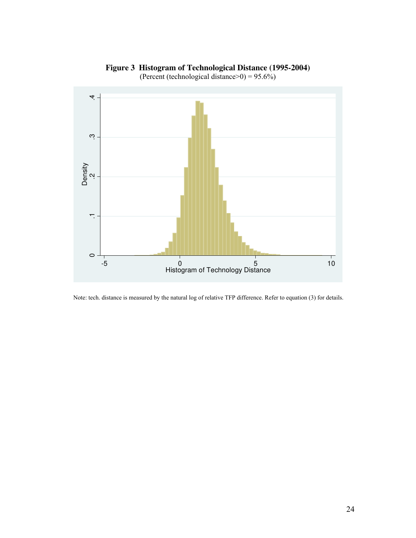

**Figure 3 Histogram of Technological Distance (1995-2004)** 

(Percent (technological distance>0) =  $95.6\%$ )

Note: tech. distance is measured by the natural log of relative TFP difference. Refer to equation (3) for details.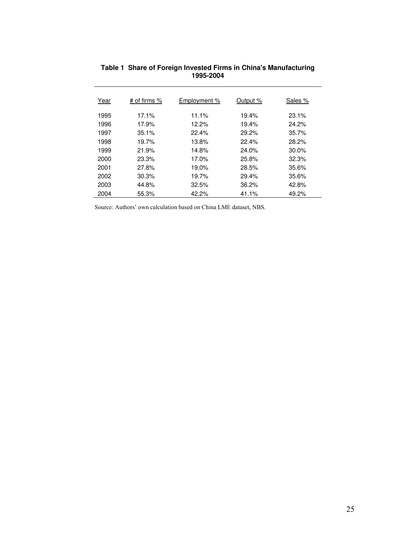| Year | # of firms % | Employment % | Output % | Sales %  |
|------|--------------|--------------|----------|----------|
| 1995 | 17.1%        | 11.1%        | 19.4%    | 23.1%    |
| 1996 | 17.9%        | 12.2%        | 19.4%    | 24.2%    |
| 1997 | 35.1%        | 22.4%        | 29.2%    | 35.7%    |
| 1998 | 19.7%        | 13.8%        | 22.4%    | 28.2%    |
| 1999 | 21.9%        | 14.8%        | 24.0%    | $30.0\%$ |
| 2000 | 23.3%        | 17.0%        | 25.8%    | 32.3%    |
| 2001 | 27.8%        | 19.0%        | 28.5%    | 35.6%    |
| 2002 | 30.3%        | 19.7%        | 29.4%    | 35.6%    |
| 2003 | 44.8%        | 32.5%        | 36.2%    | 42.8%    |
| 2004 | 55.3%        | 42.2%        | 41.1%    | 49.2%    |

#### **Table 1 Share of Foreign Invested Firms in China's Manufacturing 1995-2004**

Source: Authors' own calculation based on China LME dataset, NBS.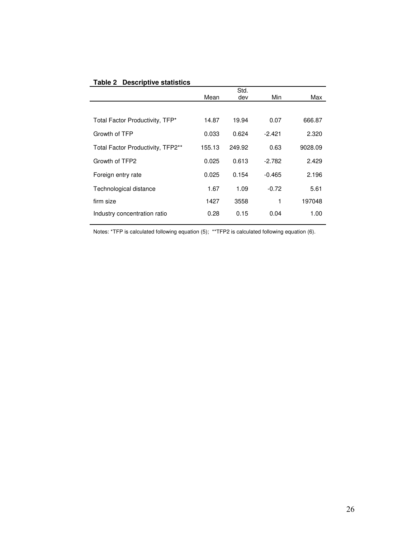| <b>Table 2 Descriptive statistics</b> |
|---------------------------------------|
|---------------------------------------|

|                                   |        | Std.   |          |         |
|-----------------------------------|--------|--------|----------|---------|
|                                   | Mean   | dev    | Min      | Max     |
|                                   |        |        |          |         |
| Total Factor Productivity, TFP*   | 14.87  | 19.94  | 0.07     | 666.87  |
| Growth of TFP                     | 0.033  | 0.624  | $-2.421$ | 2.320   |
| Total Factor Productivity, TFP2** | 155.13 | 249.92 | 0.63     | 9028.09 |
| Growth of TFP2                    | 0.025  | 0.613  | $-2.782$ | 2.429   |
| Foreign entry rate                | 0.025  | 0.154  | $-0.465$ | 2.196   |
| Technological distance            | 1.67   | 1.09   | $-0.72$  | 5.61    |
| firm size                         | 1427   | 3558   | 1        | 197048  |
| Industry concentration ratio      | 0.28   | 0.15   | 0.04     | 1.00    |
|                                   |        |        |          |         |

Notes: \*TFP is calculated following equation (5); \*\*TFP2 is calculated following equation (6).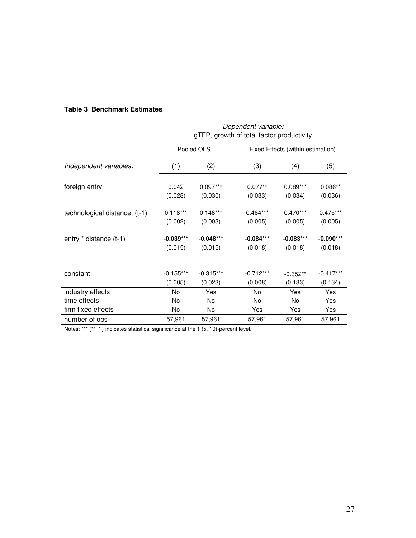|                               | Dependent variable: |             |                                           |                                   |             |  |
|-------------------------------|---------------------|-------------|-------------------------------------------|-----------------------------------|-------------|--|
|                               |                     |             | gTFP, growth of total factor productivity |                                   |             |  |
|                               |                     | Pooled OLS  |                                           | Fixed Effects (within estimation) |             |  |
| Independent variables:        | (1)                 | (2)         | (3)                                       | (4)                               | (5)         |  |
| foreign entry                 | 0.042               | $0.097***$  | $0.077**$                                 | $0.089***$                        | $0.086**$   |  |
|                               | (0.028)             | (0.030)     | (0.033)                                   | (0.034)                           | (0.036)     |  |
| technological distance, (t-1) | $0.118***$          | $0.146***$  | $0.464***$                                | $0.470***$                        | $0.475***$  |  |
|                               | (0.002)             | (0.003)     | (0.005)                                   | (0.005)                           | (0.005)     |  |
| entry * distance (t-1)        | $-0.039***$         | $-0.048***$ | $-0.084***$                               | $-0.083***$                       | $-0.090***$ |  |
|                               | (0.015)             | (0.015)     | (0.018)                                   | (0.018)                           | (0.018)     |  |
|                               |                     |             |                                           |                                   |             |  |
| constant                      | $-0.155***$         | $-0.315***$ | $-0.712***$                               | $-0.352**$                        | $-0.417***$ |  |
|                               | (0.005)             | (0.023)     | (0.008)                                   | (0.133)                           | (0.134)     |  |
| industry effects              | No                  | Yes         | No                                        | Yes                               | Yes         |  |
| time effects                  | No                  | <b>No</b>   | No                                        | <b>No</b>                         | Yes         |  |
| firm fixed effects            | No                  | No          | Yes                                       | Yes                               | Yes         |  |
| number of obs                 | 57,961              | 57,961      | 57,961                                    | 57,961                            | 57,961      |  |

# **Table 3 Benchmark Estimates**

Notes: \*\*\* (\*\*, \*) indicates statistical significance at the 1 (5, 10)-percent level.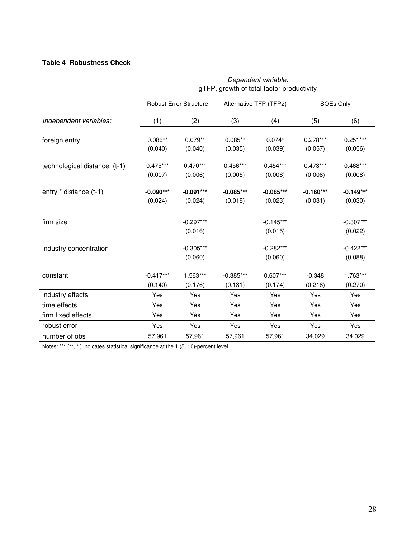# **Table 4 Robustness Check**

|                               | Dependent variable:<br>gTFP, growth of total factor productivity |                               |                        |                        |                        |                        |  |
|-------------------------------|------------------------------------------------------------------|-------------------------------|------------------------|------------------------|------------------------|------------------------|--|
| Independent variables:        |                                                                  | <b>Robust Error Structure</b> |                        | Alternative TFP (TFP2) |                        | SOEs Only              |  |
|                               | (1)                                                              | (2)                           | (3)                    | (4)                    | (5)                    | (6)                    |  |
| foreign entry                 | $0.086**$<br>(0.040)                                             | $0.079**$<br>(0.040)          | $0.085**$<br>(0.035)   | $0.074*$<br>(0.039)    | $0.278***$<br>(0.057)  | $0.251***$<br>(0.056)  |  |
| technological distance, (t-1) | $0.475***$<br>(0.007)                                            | $0.470***$<br>(0.006)         | $0.456***$<br>(0.005)  | $0.454***$<br>(0.006)  | $0.473***$<br>(0.008)  | $0.468***$<br>(0.008)  |  |
| entry * distance (t-1)        | $-0.090***$<br>(0.024)                                           | $-0.091***$<br>(0.024)        | $-0.085***$<br>(0.018) | $-0.085***$<br>(0.023) | $-0.160***$<br>(0.031) | $-0.149***$<br>(0.030) |  |
| firm size                     |                                                                  | $-0.297***$<br>(0.016)        |                        | $-0.145***$<br>(0.015) |                        | $-0.307***$<br>(0.022) |  |
| industry concentration        |                                                                  | $-0.305***$<br>(0.060)        |                        | $-0.282***$<br>(0.060) |                        | $-0.422***$<br>(0.088) |  |
| constant                      | $-0.417***$<br>(0.140)                                           | 1.563***<br>(0.176)           | $-0.385***$<br>(0.131) | $0.607***$<br>(0.174)  | $-0.348$<br>(0.218)    | 1.763***<br>(0.270)    |  |
| industry effects              | Yes                                                              | Yes                           | Yes                    | Yes                    | Yes                    | Yes                    |  |
| time effects                  | Yes                                                              | Yes                           | Yes                    | Yes                    | Yes                    | Yes                    |  |
| firm fixed effects            | Yes                                                              | Yes                           | Yes                    | Yes                    | Yes                    | Yes                    |  |
| robust error                  | Yes                                                              | Yes                           | Yes                    | Yes                    | Yes                    | Yes                    |  |
| number of obs                 | 57,961                                                           | 57,961                        | 57,961                 | 57,961                 | 34,029                 | 34,029                 |  |

Notes: \*\*\* (\*\*, \*) indicates statistical significance at the 1 (5, 10)-percent level.